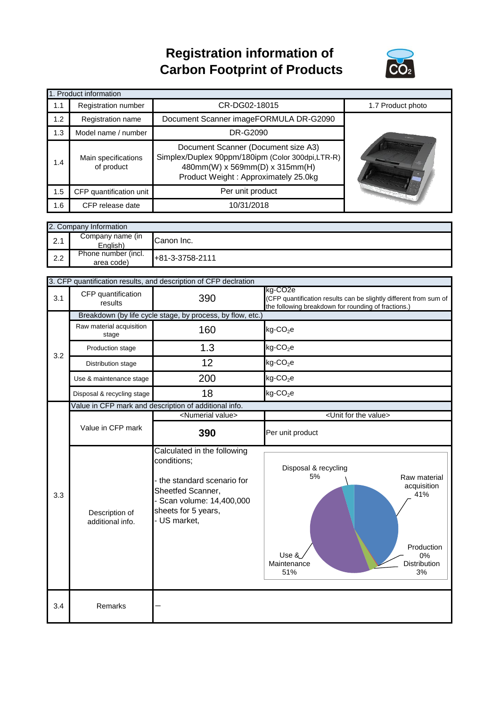## **Registration information of Carbon Footprint of Products**



| 1. Product information |                                   |                                                                                                                                                                   |                   |  |  |
|------------------------|-----------------------------------|-------------------------------------------------------------------------------------------------------------------------------------------------------------------|-------------------|--|--|
| 1.1                    | Registration number               | CR-DG02-18015                                                                                                                                                     | 1.7 Product photo |  |  |
| 1.2                    | Registration name                 | Document Scanner imageFORMULA DR-G2090                                                                                                                            |                   |  |  |
| 1.3                    | Model name / number               | DR-G2090                                                                                                                                                          |                   |  |  |
| 1.4                    | Main specifications<br>of product | Document Scanner (Document size A3)<br>Simplex/Duplex 90ppm/180ipm (Color 300dpi,LTR-R)<br>480mm(W) x 569mm(D) x 315mm(H)<br>Product Weight: Approximately 25.0kg |                   |  |  |
| 1.5                    | CFP quantification unit           | Per unit product                                                                                                                                                  |                   |  |  |
| 1.6                    | CFP release date                  | 10/31/2018                                                                                                                                                        |                   |  |  |

| 2. Company Information |                                   |                   |  |  |
|------------------------|-----------------------------------|-------------------|--|--|
| 2.1                    | Company name (in<br>English)      | Canon Inc.        |  |  |
| 2.2                    | Phone number (incl.<br>area code) | $+81-3-3758-2111$ |  |  |

|     | 3. CFP quantification results, and description of CFP declration |                                                                                                                                                              |                                                                                                                                                  |  |  |
|-----|------------------------------------------------------------------|--------------------------------------------------------------------------------------------------------------------------------------------------------------|--------------------------------------------------------------------------------------------------------------------------------------------------|--|--|
| 3.1 | CFP quantification<br>results                                    | 390                                                                                                                                                          | kg-CO <sub>2</sub> e<br>(CFP quantification results can be slightly different from sum of<br>the following breakdown for rounding of fractions.) |  |  |
|     | Breakdown (by life cycle stage, by process, by flow, etc.)       |                                                                                                                                                              |                                                                                                                                                  |  |  |
|     | Raw material acquisition<br>stage                                | 160                                                                                                                                                          | $kg$ -CO <sub>2</sub> e                                                                                                                          |  |  |
| 3.2 | Production stage                                                 | 1.3                                                                                                                                                          | $kg$ -CO <sub>2</sub> e                                                                                                                          |  |  |
|     | Distribution stage                                               | 12                                                                                                                                                           | $kg$ -CO <sub>2</sub> e                                                                                                                          |  |  |
|     | Use & maintenance stage                                          | 200                                                                                                                                                          | $kg$ -CO <sub>2</sub> e                                                                                                                          |  |  |
|     | Disposal & recycling stage                                       | 18                                                                                                                                                           | $kg$ -CO <sub>2</sub> e                                                                                                                          |  |  |
|     | Value in CFP mark and description of additional info.            |                                                                                                                                                              |                                                                                                                                                  |  |  |
|     |                                                                  | <numerial value=""></numerial>                                                                                                                               | <unit for="" the="" value=""></unit>                                                                                                             |  |  |
|     | Value in CFP mark                                                | 390                                                                                                                                                          | Per unit product                                                                                                                                 |  |  |
| 3.3 | Description of<br>additional info.                               | Calculated in the following<br>conditions;<br>the standard scenario for<br>Sheetfed Scanner,<br>Scan volume: 14,400,000<br>sheets for 5 years,<br>US market, | Disposal & recycling<br>5%<br>Raw material<br>acquisition<br>41%<br>Production<br>Use &<br>0%<br><b>Distribution</b><br>Maintenance<br>3%<br>51% |  |  |
| 3.4 | Remarks                                                          |                                                                                                                                                              |                                                                                                                                                  |  |  |